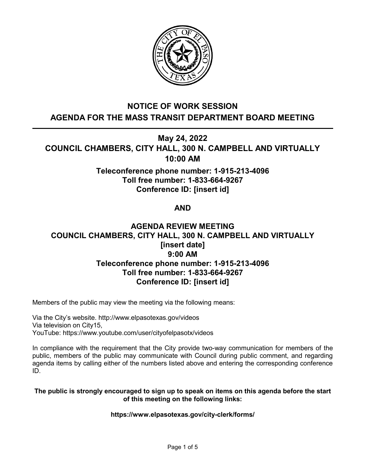

# **NOTICE OF WORK SESSION AGENDA FOR THE MASS TRANSIT DEPARTMENT BOARD MEETING**

**May 24, 2022**

**COUNCIL CHAMBERS, CITY HALL, 300 N. CAMPBELL AND VIRTUALLY 10:00 AM**

# **Teleconference phone number: 1-915-213-4096 Toll free number: 1-833-664-9267 Conference ID: [insert id]**

# **AND**

# **AGENDA REVIEW MEETING COUNCIL CHAMBERS, CITY HALL, 300 N. CAMPBELL AND VIRTUALLY [insert date] 9:00 AM Teleconference phone number: 1-915-213-4096 Toll free number: 1-833-664-9267 Conference ID: [insert id]**

Members of the public may view the meeting via the following means:

Via the City's website. http://www.elpasotexas.gov/videos Via television on City15, YouTube: https://www.youtube.com/user/cityofelpasotx/videos

In compliance with the requirement that the City provide two-way communication for members of the public, members of the public may communicate with Council during public comment, and regarding agenda items by calling either of the numbers listed above and entering the corresponding conference ID.

### **The public is strongly encouraged to sign up to speak on items on this agenda before the start of this meeting on the following links:**

### **https://www.elpasotexas.gov/city-clerk/forms/**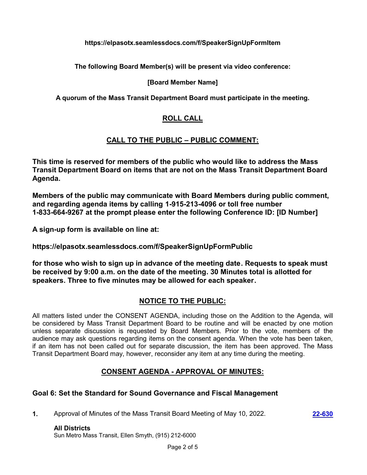### **https://elpasotx.seamlessdocs.com/f/SpeakerSignUpFormItem**

**The following Board Member(s) will be present via video conference:**

### **[Board Member Name]**

**A quorum of the Mass Transit Department Board must participate in the meeting.**

## **ROLL CALL**

## **CALL TO THE PUBLIC – PUBLIC COMMENT:**

**This time is reserved for members of the public who would like to address the Mass Transit Department Board on items that are not on the Mass Transit Department Board Agenda.**

**Members of the public may communicate with Board Members during public comment, and regarding agenda items by calling 1-915-213-4096 or toll free number 1-833-664-9267 at the prompt please enter the following Conference ID: [ID Number]**

**A sign-up form is available on line at:**

**https://elpasotx.seamlessdocs.com/f/SpeakerSignUpFormPublic**

**for those who wish to sign up in advance of the meeting date. Requests to speak must be received by 9:00 a.m. on the date of the meeting. 30 Minutes total is allotted for speakers. Three to five minutes may be allowed for each speaker.**

## **NOTICE TO THE PUBLIC:**

All matters listed under the CONSENT AGENDA, including those on the Addition to the Agenda, will be considered by Mass Transit Department Board to be routine and will be enacted by one motion unless separate discussion is requested by Board Members. Prior to the vote, members of the audience may ask questions regarding items on the consent agenda. When the vote has been taken, if an item has not been called out for separate discussion, the item has been approved. The Mass Transit Department Board may, however, reconsider any item at any time during the meeting.

# **CONSENT AGENDA - APPROVAL OF MINUTES:**

## **Goal 6: Set the Standard for Sound Governance and Fiscal Management**

**1.** Approval of Minutes of the Mass Transit Board Meeting of May 10, 2022. **[22-630](http://elpasotexas.legistar.com/gateway.aspx?m=l&id=/matter.aspx?key=7094)**

# **All Districts**

Sun Metro Mass Transit, Ellen Smyth, (915) 212-6000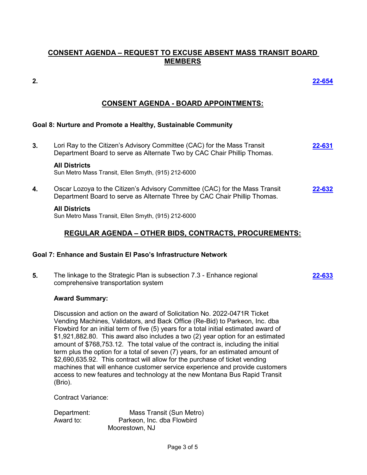## **CONSENT AGENDA – REQUEST TO EXCUSE ABSENT MASS TRANSIT BOARD MEMBERS**

**2. [22-654](http://elpasotexas.legistar.com/gateway.aspx?m=l&id=/matter.aspx?key=7117)**

## **CONSENT AGENDA - BOARD APPOINTMENTS:**

### **Goal 8: Nurture and Promote a Healthy, Sustainable Community**

**3.** Lori Ray to the Citizen's Advisory Committee (CAC) for the Mass Transit Department Board to serve as Alternate Two by CAC Chair Phillip Thomas. **[22-631](http://elpasotexas.legistar.com/gateway.aspx?m=l&id=/matter.aspx?key=7095)**

#### **All Districts**

Sun Metro Mass Transit, Ellen Smyth, (915) 212-6000

**4.** Oscar Lozoya to the Citizen's Advisory Committee (CAC) for the Mass Transit Department Board to serve as Alternate Three by CAC Chair Phillip Thomas. **[22-632](http://elpasotexas.legistar.com/gateway.aspx?m=l&id=/matter.aspx?key=7096)**

#### **All Districts**

Sun Metro Mass Transit, Ellen Smyth, (915) 212-6000

### **REGULAR AGENDA – OTHER BIDS, CONTRACTS, PROCUREMENTS:**

### **Goal 7: Enhance and Sustain El Paso's Infrastructure Network**

**5.** The linkage to the Strategic Plan is subsection 7.3 - Enhance regional comprehensive transportation system **[22-633](http://elpasotexas.legistar.com/gateway.aspx?m=l&id=/matter.aspx?key=7097)**

### **Award Summary:**

Discussion and action on the award of Solicitation No. 2022-0471R Ticket Vending Machines, Validators, and Back Office (Re-Bid) to Parkeon, Inc. dba Flowbird for an initial term of five (5) years for a total initial estimated award of \$1,921,882.80. This award also includes a two (2) year option for an estimated amount of \$768,753.12. The total value of the contract is, including the initial term plus the option for a total of seven (7) years, for an estimated amount of \$2,690,635.92. This contract will allow for the purchase of ticket vending machines that will enhance customer service experience and provide customers access to new features and technology at the new Montana Bus Rapid Transit (Brio).

Contract Variance:

Department: Mass Transit (Sun Metro) Award to: Parkeon, Inc. dba Flowbird Moorestown, NJ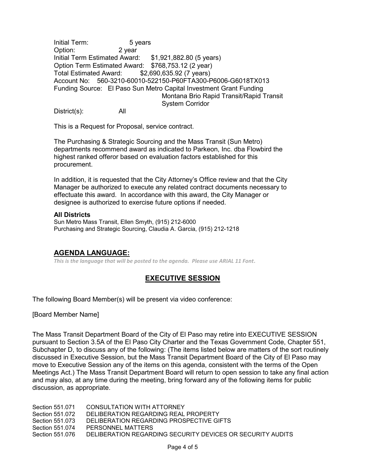Initial Term: 5 years Option: 2 year Initial Term Estimated Award: \$1,921,882.80 (5 years) Option Term Estimated Award: \$768,753.12 (2 year) Total Estimated Award: \$2,690,635.92 (7 years) Account No: 560-3210-60010-522150-P60FTA300-P6006-G6018TX013 Funding Source: El Paso Sun Metro Capital Investment Grant Funding Montana Brio Rapid Transit/Rapid Transit System Corridor

District(s): All

This is a Request for Proposal, service contract.

The Purchasing & Strategic Sourcing and the Mass Transit (Sun Metro) departments recommend award as indicated to Parkeon, Inc. dba Flowbird the highest ranked offeror based on evaluation factors established for this procurement.

In addition, it is requested that the City Attorney's Office review and that the City Manager be authorized to execute any related contract documents necessary to effectuate this award. In accordance with this award, the City Manager or designee is authorized to exercise future options if needed.

#### **All Districts**

Sun Metro Mass Transit, Ellen Smyth, (915) 212-6000 Purchasing and Strategic Sourcing, Claudia A. Garcia, (915) 212-1218

### **AGENDA LANGUAGE:**

*This is the language that will be posted to the agenda. Please use ARIAL 11 Font.*

### **EXECUTIVE SESSION**

The following Board Member(s) will be present via video conference:

[Board Member Name]

The Mass Transit Department Board of the City of El Paso may retire into EXECUTIVE SESSION pursuant to Section 3.5A of the El Paso City Charter and the Texas Government Code, Chapter 551, Subchapter D, to discuss any of the following: (The items listed below are matters of the sort routinely discussed in Executive Session, but the Mass Transit Department Board of the City of El Paso may move to Executive Session any of the items on this agenda, consistent with the terms of the Open Meetings Act.) The Mass Transit Department Board will return to open session to take any final action and may also, at any time during the meeting, bring forward any of the following items for public discussion, as appropriate.

| Section 551.071 | CONSULTATION WITH ATTORNEY                                 |
|-----------------|------------------------------------------------------------|
| Section 551.072 | DELIBERATION REGARDING REAL PROPERTY                       |
| Section 551.073 | DELIBERATION REGARDING PROSPECTIVE GIFTS                   |
| Section 551.074 | PERSONNEL MATTERS                                          |
| Section 551.076 | DELIBERATION REGARDING SECURITY DEVICES OR SECURITY AUDITS |